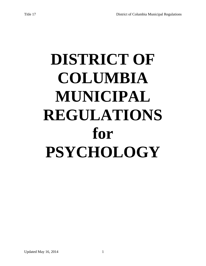# **DISTRICT OF COLUMBIA MUNICIPAL REGULATIONS for PSYCHOLOGY**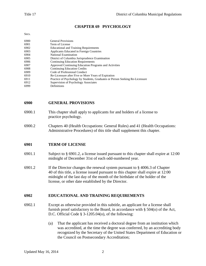# **CHAPTER 69 PSYCHOLOGY**

#### Secs.

| 6900 | <b>General Provisions</b>                                                    |
|------|------------------------------------------------------------------------------|
| 6901 | Term of License                                                              |
| 6902 | <b>Educational and Training Requirements</b>                                 |
| 6903 | Applicants Educated in Foreign Countries                                     |
| 6904 | National Examination                                                         |
| 6905 | District of Columbia Jurisprudence Examination                               |
| 6906 | <b>Continuing Education Requirements</b>                                     |
| 6907 | Approved Continuing Education Programs and Activities                        |
| 6908 | <b>Continuing Education Credits</b>                                          |
| 6909 | Code of Professional Conduct                                                 |
| 6910 | Re-Licensure after Five or More Years of Expiration                          |
| 6911 | Practice of Psychology by Students, Graduates or Person Seeking Re-Licensure |
| 6912 | Supervision of Psychology Associates                                         |
| 6999 | Definitions                                                                  |

#### **6900 GENERAL PROVISIONS**

- 6900.1 This chapter shall apply to applicants for and holders of a license to practice psychology.
- 6900.2 Chapters 40 (Health Occupations: General Rules) and 41 (Health Occupations: Administrative Procedures) of this title shall supplement this chapter.

#### **6901 TERM OF LICENSE**

- 6901.1 Subject to § 6901.2, a license issued pursuant to this chapter shall expire at 12:00 midnight of December 31st of each odd-numbered year.
- 6901.2 If the Director changes the renewal system pursuant to § 4006.3 of Chapter 40 of this title, a license issued pursuant to this chapter shall expire at 12:00 midnight of the last day of the month of the birthdate of the holder of the license, or other date established by the Director.

#### **6902 EDUCATIONAL AND TRAINING REQUIREMENTS**

- 6902.1 Except as otherwise provided in this subtitle, an applicant for a license shall furnish proof satisfactory to the Board, in accordance with  $\S$  504(o) of the Act, D.C. Official Code § 3-1205.04(o), of the following:
	- (a) That the applicant has received a doctoral degree from an institution which was accredited, at the time the degree was conferred, by an accrediting body recognized by the Secretary of the United States Department of Education or the Council on Postsecondary Accreditation;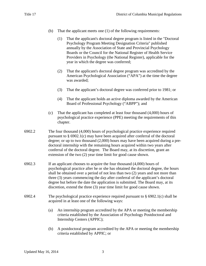- (b) That the applicant meets one (1) of the following requirements:
	- (1) That the applicant's doctoral degree program is listed in the "Doctoral Psychology Program Meeting Designation Criteria" published annually by the Association of State and Provincial Psychology Boards or the Council for the National Register of Health Service Providers in Psychology (the National Register), applicable for the year in which the degree was conferred;
	- (2) That the applicant's doctoral degree program was accredited by the American Psychological Association ("APA") at the time the degree was awarded;
	- (3) That the applicant's doctoral degree was conferred prior to 1981; or
	- (4) That the applicant holds an active diploma awarded by the American Board of Professional Psychology ("ABPP"); and
- (c) That the applicant has completed at least four thousand (4,000) hours of psychological practice experience (PPE) meeting the requirements of this chapter.
- 6902.2 The four thousand (4,000) hours of psychological practice experience required pursuant to § 6902.1(c) may have been acquired after conferral of the doctoral degree; or up to two thousand (2,000) hours may have been acquired during a predoctoral internship with the remaining hours acquired within two years after conferral of the doctoral degree. The Board may, at its discretion, grant an extension of the two (2) year time limit for good cause shown.
- 6902.3 If an applicant chooses to acquire the four thousand (4,000) hours of psychological practice after he or she has obtained the doctoral degree, the hours shall be obtained over a period of not less than two (2) years and not more than three (3) years commencing the day after conferral of the applicant's doctoral degree but before the date the application is submitted. The Board may, at its discretion, extend the three (3) year time limit for good cause shown.
- 6902.4 The psychological practice experience required pursuant to § 6902.1(c) shall be acquired in at least one of the following ways:
	- (a) An internship program accredited by the APA or meeting the membership criteria established by the Association of Psychology Postdoctoral and Internship Centers (APPIC);
	- (b) A postdoctoral program accredited by the APA or meeting the membership criteria established by APPIC; or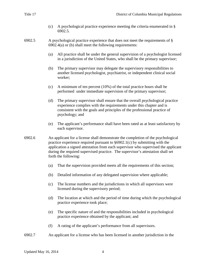- (c) A psychological practice experience meeting the criteria enumerated in § 6902.5.
- 6902.5 A psychological practice experience that does not meet the requirements of §  $6902.4(a)$  or (b) shall meet the following requirements:
	- (a) All practice shall be under the general supervision of a psychologist licensed in a jurisdiction of the United States, who shall be the primary supervisor;
	- (b) The primary supervisor may delegate the supervisory responsibilities to another licensed psychologist, psychiatrist, or independent clinical social worker;
	- (c) A minimum of ten percent (10%) of the total practice hours shall be performed under immediate supervision of the primary supervisor;
	- (d) The primary supervisor shall ensure that the overall psychological practice experience complies with the requirements under this chapter and is consistent with the goals and principles of the professional practice of psychology; and
	- (e) The applicant's performance shall have been rated as at least satisfactory by each supervisor.
- 6902.6 An applicant for a license shall demonstrate the completion of the psychological practice experience required pursuant to  $§6902.1(c)$  by submitting with the application a signed attestation from each supervisor who supervised the applicant during the required supervised practice. The supervisor's attestation shall set forth the following:
	- (a) That the supervision provided meets all the requirements of this section;
	- (b) Detailed information of any delegated supervision where applicable;
	- (c) The license numbers and the jurisdictions in which all supervisors were licensed during the supervisory period;
	- (d) The location at which and the period of time during which the psychological practice experience took place;
	- (e) The specific nature of and the responsibilities included in psychological practice experience obtained by the applicant; and
	- (f) A rating of the applicant's performance from all supervisors.
- 6902.7 An applicant for a license who has been licensed in another jurisdiction in the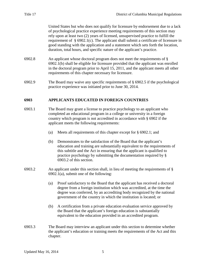United States but who does not qualify for licensure by endorsement due to a lack of psychological practice experience meeting requirements of this section may rely upon at least two (2) years of licensed, unsupervised practice to fulfill the requirement of § 6902.1(c). The applicant shall submit a certificate of licensure in good standing with the application and a statement which sets forth the location, duration, total hours, and specific nature of the applicant's practice.

- 6902.8 An applicant whose doctoral program does not meet the requirements of § 6902.1(b) shall be eligible for licensure provided that the applicant was enrolled in the doctoral program prior to April 15, 2011, and the applicant meets all other requirements of this chapter necessary for licensure.
- 6902.9 The Board may waive any specific requirements of § 6902.5 if the psychological practice experience was initiated prior to June 30, 2014.

# **6903 APPLICANTS EDUCATED IN FOREIGN COUNTRIES**

- 6903.1 The Board may grant a license to practice psychology to an applicant who completed an educational program in a college or university in a foreign country which program is not accredited in accordance with § 6902 if the applicant meets the following requirements:
	- (a) Meets all requirements of this chapter except for § 6902.1; and
	- (b) Demonstrates to the satisfaction of the Board that the applicant's education and training are substantially equivalent to the requirements of this subtitle and the Act in ensuring that the applicant is qualified to practice psychology by submitting the documentation required by § 6903.2 of this section.
- 6903.2 An applicant under this section shall, in lieu of meeting the requirements of §  $6902.1(a)$ , submit one of the following:
	- (a) Proof satisfactory to the Board that the applicant has received a doctoral degree from a foreign institution which was accredited, at the time the degree was conferred, by an accrediting body recognized by the national government of the country in which the institution is located; or
	- (b) A certification from a private education evaluation service approved by the Board that the applicant's foreign education is substantially equivalent to the education provided in an accredited program.
- 6903.3 The Board may interview an applicant under this section to determine whether the applicant's education or training meets the requirements of the Act and this chapter.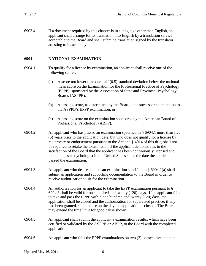6903.4 If a document required by this chapter is in a language other than English, an applicant shall arrange for its translation into English by a translation service acceptable to the Board and shall submit a translation signed by the translator attesting to its accuracy.

#### **6904 NATIONAL EXAMINATION**

6904.1 To qualify for a license by examination, an applicant shall receive one of the following scores:

- (a) A score not lower than one-half (0.5) standard deviation below the national mean score on the Examination for the Professional Practice of Psychology (EPPP), sponsored by the Association of State and Provincial Psychology Boards (ASPPB);
- (b) A passing score, as determined by the Board, on a successor examination to the ASPPB's EPPP examination; or
- (c) A passing score on the examination sponsored by the American Board of Professional Psychology (ABPP).
- 6904.2 An applicant who has passed an examination specified in § 6904.1 more than five (5) years prior to the application date, but who does not qualify for a license by reciprocity or endorsement pursuant to the Act and § 4014 of this title, shall not be required to retake the examination if the applicant demonstrates to the satisfaction of the Board that the applicant has been continuously licensed and practicing as a psychologist in the United States since the date the applicant passed the examination.
- 6904.3 An applicant who desires to take an examination specified in § 6904.1(a) shall submit an application and supporting documentation to the Board in order to receive authorization to sit for the examination.
- 6904.4 An authorization for an applicant to take the EPPP examination pursuant to § 6904.3 shall be valid for one hundred and twenty (120) days. If an applicant fails to take and pass the EPPP within one hundred and twenty (120) days, the application shall be closed and the authorization for supervised practice, if any had been granted, shall expire on the day the application is closed. The Board may extend the time limit for good cause shown.
- 6904.5 An applicant shall submit the applicant's examination results, which have been certified or validated by the ASPPB or ABPP, to the Board with the completed application.
- 6904.6 An applicant who fails the EPPP examinations on two (2) consecutive attempts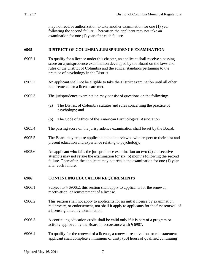may not receive authorization to take another examination for one (1) year following the second failure. Thereafter, the applicant may not take an examination for one (1) year after each failure.

### **6905 DISTRICT OF COLUMBIA JURISPRUDENCE EXAMINATION**

- 6905.1 To qualify for a license under this chapter, an applicant shall receive a passing score on a jurisprudence examination developed by the Board on the laws and rules of the District of Columbia and the ethical standards pertaining to the practice of psychology in the District.
- 6905.2 An applicant shall not be eligible to take the District examination until all other requirements for a license are met.
- 6905.3 The jurisprudence examination may consist of questions on the following:
	- (a) The District of Columbia statutes and rules concerning the practice of psychology; and
	- (b) The Code of Ethics of the American Psychological Association.
- 6905.4 The passing score on the jurisprudence examination shall be set by the Board.
- 6905.5 The Board may require applicants to be interviewed with respect to their past and present education and experience relating to psychology.
- 6905.6 An applicant who fails the jurisprudence examination on two (2) consecutive attempts may not retake the examination for six (6) months following the second failure. Thereafter, the applicant may not retake the examination for one (1) year after each failure.

#### **6906 CONTINUING EDUCATION REQUIREMENTS**

- 6906.1 Subject to § 6906.2, this section shall apply to applicants for the renewal, reactivation, or reinstatement of a license.
- 6906.2 This section shall not apply to applicants for an initial license by examination, reciprocity, or endorsement, nor shall it apply to applicants for the first renewal of a license granted by examination.
- 6906.3 A continuing education credit shall be valid only if it is part of a program or activity approved by the Board in accordance with § 6907.
- 6906.4 To qualify for the renewal of a license, a renewal, reactivation, or reinstatement applicant shall complete a minimum of thirty (30) hours of qualified continuing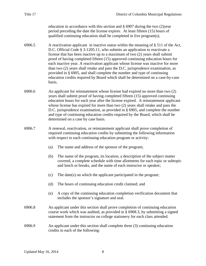education in accordance with this section and  $\S$  6907 during the two (2)year period preceding the date the license expires. At least fifteen (15) hours of qualified continuing education shall be completed in live program(s).

- 6906.5 A reactivation applicant in inactive status within the meaning of § 511 of the Act, D.C. Official Code § 3-1205.11, who submits an application to reactivate a license that has been inactive up to a maximum of two (2) years shall submit proof of having completed fifteen (15) approved continuing education hours for each inactive year. A reactivation applicant whose license was inactive for more than two (2) years shall retake and pass the D.C. jurisprudence examination, as provided in § 6905, and shall complete the number and type of continuing education credits required by Board which shall be determined on a case-by-case basis.
- 6906.6 An applicant for reinstatement whose license had expired no more than two (2) years shall submit proof of having completed fifteen (15) approved continuing education hours for each year after the license expired. A reinstatement applicant whose license has expired for more than two (2) years shall retake and pass the D.C. jurisprudence examination, as provided in § 6905, and complete the number and type of continuing education credits required by the Board, which shall be determined on a case by case basis.
- 6906.7 A renewal, reactivation, or reinstatement applicant shall prove completion of required continuing education credits by submitting the following information with respect to each continuing education program or activity:
	- (a) The name and address of the sponsor of the program;
	- (b) The name of the program, its location, a description of the subject matter covered, a complete schedule with time allotments for each topic or subtopic and lunch or breaks, and the name of each instructor or speaker;
	- (c) The date(s) on which the applicant participated in the program;
	- (d) The hours of continuing education credit claimed; and
	- (e) A copy of the continuing education completion verification document that includes the sponsor's signature and seal.
- 6906.8 An applicant under this section shall prove completion of continuing education course work which was audited, as provided in § 6908.3, by submitting a signed statement from the instructor on college stationery for each class attended.
- 6906.9 An applicant under this section shall complete three (3) continuing education credits in each of the following: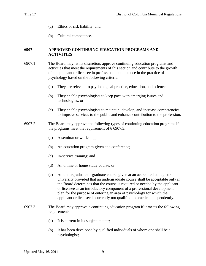- (a) Ethics or risk liability; and
- (b) Cultural competence.

### **6907 APPROVED CONTINUING EDUCATION PROGRAMS AND ACTIVITIES**

- 6907.1 The Board may, at its discretion, approve continuing education programs and activities that meet the requirements of this section and contribute to the growth of an applicant or licensee in professional competence in the practice of psychology based on the following criteria:
	- (a) They are relevant to psychological practice, education, and science;
	- (b) They enable psychologists to keep pace with emerging issues and technologies; or
	- (c) They enable psychologists to maintain, develop, and increase competencies to improve services to the public and enhance contribution to the profession.
- 6907.2 The Board may approve the following types of continuing education programs if the programs meet the requirement of § 6907.3:
	- (a) A seminar or workshop;
	- (b) An education program given at a conference;
	- (c) In-service training; and
	- (d) An online or home study course; or
	- (e) An undergraduate or graduate course given at an accredited college or university provided that an undergraduate course shall be acceptable only if the Board determines that the course is required or needed by the applicant or licensee as an introductory component of a professional development plan for the purpose of entering an area of psychology for which the applicant or licensee is currently not qualified to practice independently.
- 6907.3 The Board may approve a continuing education program if it meets the following requirements:
	- (a) It is current in its subject matter;
	- (b) It has been developed by qualified individuals of whom one shall be a psychologist;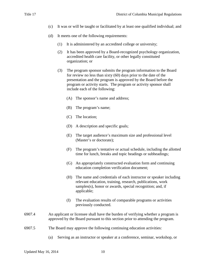- (c) It was or will be taught or facilitated by at least one qualified individual; and
- (d) It meets one of the following requirements:
	- (1) It is administered by an accredited college or university;
	- (2) It has been approved by a Board-recognized psychology organization, accredited health care facility, or other legally constituted organization; or
	- (3) The program sponsor submits the program information to the Board for review no less than sixty (60) days prior to the date of the presentation and the program is approved by the Board before the program or activity starts. The program or activity sponsor shall include each of the following:
		- (A) The sponsor's name and address;
		- (B) The program's name;
		- (C) The location;
		- (D) A description and specific goals;
		- (E) The target audience's maximum size and professional level (Master's or doctorate);
		- (F) The program's tentative or actual schedule, including the allotted time for lunch, breaks and topic headings or subheadings;
		- (G) An appropriately constructed evaluation form and continuing education completion verification document;
		- (H) The name and credentials of each instructor or speaker including relevant education, training, research, publications, work samples(s), honor or awards, special recognition; and, if applicable;
		- (I) The evaluation results of comparable programs or activities previously conducted.
- 6907.4 An applicant or licensee shall have the burden of verifying whether a program is approved by the Board pursuant to this section prior to attending the program.
- 6907.5 The Board may approve the following continuing education activities:
	- (a) Serving as an instructor or speaker at a conference, seminar, workshop, or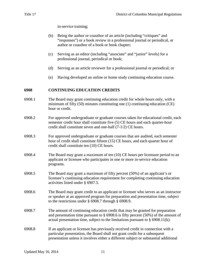in-service training;

- (b) Being the author or coauthor of an article (including "critiques" and "responses") or a book review in a professional journal or periodical, or author or coauthor of a book or book chapter;
- (c) Serving as an editor (including "associate" and "junior" levels) for a professional journal, periodical or book;
- (d) Serving as an article reviewer for a professional journal or periodical; or
- (e) Having developed an online or home study continuing education course.

# **6908 CONTINUING EDUCATION CREDITS**

- 6908.1 The Board may grant continuing education credit for whole hours only, with a minimum of fifty (50) minutes constituting one (1) continuing education (CE) hour or credit.
- 6908.2 For approved undergraduate or graduate courses taken for educational credit, each semester credit hour shall constitute five (5) CE hours and each quarter-hour credit shall constitute seven and one-half (7-1/2) CE hours.
- 6908.3 For approved undergraduate or graduate courses that are audited, each semester hour of credit shall constitute fifteen (15) CE hours, and each quarter hour of credit shall constitute ten (10) CE hours.
- 6908.4 The Board may grant a maximum of ten (10) CE hours per licensure period to an applicant or licensee who participates in one or more in-service education programs.
- 6908.5 The Board may grant a maximum of fifty percent (50%) of an applicant's or licensee's continuing education requirement for completing continuing education activities listed under § 6907.5.
- 6908.6 The Board may grant credit to an applicant or licensee who serves as an instructor or speaker at an approved program for preparation and presentation time, subject to the restrictions under § 6908.7 through § 6908.9.
- 6908.7 The amount of continuing education credit that may be granted for preparation and presentation time pursuant to § 6908.6 is fifty percent (50%) of the amount of actual presentation time, subject to the limitations pursuant to § 6908.11(k).
- 6908.8 If an applicant or licensee has previously received credit in connection with a particular presentation, the Board shall not grant credit for a subsequent presentation unless it involves either a different subject or substantial additional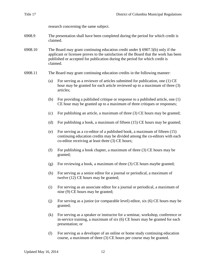research concerning the same subject.

- 6908.9 The presentation shall have been completed during the period for which credit is claimed.
- 6908.10 The Board may grant continuing education credit under § 6907.5(b) only if the applicant or licensee proves to the satisfaction of the Board that the work has been published or accepted for publication during the period for which credit is claimed.
- 6908.11 The Board may grant continuing education credits in the following manner:
	- (a) For serving as a reviewer of articles submitted for publication, one (1) CE hour may be granted for each article reviewed up to a maximum of three (3) articles;
	- (b) For providing a published critique or response to a published article, one (1) CE hour may be granted up to a maximum of three critiques or responses;
	- (c) For publishing an article, a maximum of three (3) CE hours may be granted;
	- (d) For publishing a book, a maximum of fifteen (15) CE hours may be granted;
	- (e) For serving as a co-editor of a published book, a maximum of fifteen (15) continuing education credits may be divided among the co-editors with each co-editor receiving at least three (3) CE hours;
	- (f) For publishing a book chapter, a maximum of three (3) CE hours may be granted;
	- (g) For reviewing a book, a maximum of three (3) CE hours maybe granted;
	- (h) For serving as a senior editor for a journal or periodical, a maximum of twelve (12) CE hours may be granted;
	- (i) For serving as an associate editor for a journal or periodical, a maximum of nine (9) CE hours may be granted;
	- (j) For serving as a junior (or comparable level) editor, six (6) CE hours may be granted;
	- (k) For serving as a speaker or instructor for a seminar, workshop, conference or in-service training, a maximum of six (6) CE hours may be granted for each presentation; or
	- (l) For serving as a developer of an online or home study continuing education course, a maximum of three (3) CE hours per course may be granted.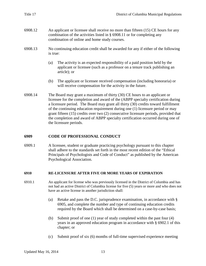- 6908.12 An applicant or licensee shall receive no more than fifteen (15) CE hours for any combination of the activities listed in § 6908.11 or for completing any combination of online and home study courses.
- 6908.13 No continuing education credit shall be awarded for any if either of the following is true:
	- (a) The activity is an expected responsibility of a paid position held by the applicant or licensee (such as a professor on a tenure track publishing an article); or
	- (b) The applicant or licensee received compensation (including honoraria) or will receive compensation for the activity in the future.
- 6908.14 The Board may grant a maximum of thirty (30) CE hours to an applicant or licensee for the completion and award of the (ABPP specialty certification during a licensure period. The Board may grant all thirty (30) credits toward fulfillment of the continuing education requirement during one (1) licensure period or may grant fifteen (15) credits over two (2) consecutive licensure periods, provided that the completion and award of ABPP specialty certification occurred during one of the licensure periods.

#### **6909 CODE OF PROFESSIONAL CONDUCT**

6909.1 A licensee, student or graduate practicing psychology pursuant to this chapter shall adhere to the standards set forth in the most recent edition of the "Ethical Principals of Psychologists and Code of Conduct" as published by the American Psychological Association.

#### **6910 RE-LICENSURE AFTER FIVE OR MORE YEARS OF EXPIRATION**

- 6910.1 An applicant for license who was previously licensed in the District of Columbia and has not had an active District of Columbia license for five (5) years or more and who does not have an active license in another jurisdiction shall:
	- (a) Retake and pass the D.C. jurisprudence examination, in accordance with § 6905, and complete the number and type of continuing education credits required by the Board which shall be determined on a case-by-case basis;
	- (b) Submit proof of one (1) year of study completed within the past four (4) years in an approved education program in accordance with § 6902.1 of this chapter; or
	- (c) Submit proof of six (6) months of full-time supervised experience meeting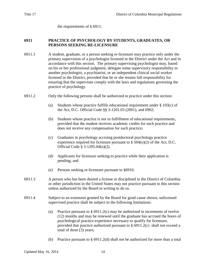the requirements of § 6911.

#### **6911 PRACTICE OF PSYCHOLOGY BY STUDENTS, GRADUATES, OR PERSONS SEEKING RE-LICENSURE**

- 6911.1 A student, graduate, or a person seeking re-licensure may practice only under the primary supervision of a psychologist licensed in the District under the Act and in accordance with this section. The primary supervising psychologist may, based on his or her professional judgment, delegate some supervisory responsibility to another psychologist, a psychiatrist, or an independent clinical social worker licensed in the District, provided that he or she retains full responsibility for ensuring that the supervisee comply with the laws and regulations governing the practice of psychology.
- 6911.2 Only the following persons shall be authorized to practice under this section:
	- (a) Students whose practice fulfills educational requirement under  $\S$  103(c) of the Act, D.C. Official Code §§ 3-1201.03 (2001), and 6902;
	- (b) Students whose practice is not in fulfillment of educational requirements, provided that the student receives academic credits for such practice and does not receive any compensation for such practice;
	- (c) Graduates in psychology accruing postdoctoral psychology practice experience required for licensure pursuant to § 504(o)(2) of the Act, D.C. Official Code § 3-1205.04(o)(2).
	- (d) Applicants for licensure seeking to practice while their application is pending; and
	- (e) Persons seeking re-licensure pursuant to §6910.
- 6911.3 A person who has been denied a license or disciplined in the District of Columbia or other jurisdiction in the United States may not practice pursuant to this section unless authorized by the Board in writing to do so.
- 6911.4 Subject to an extension granted by the Board for good cause shown, unlicensed supervised practice shall be subject to the following limitations:
	- (a) Practice pursuant to  $\S 6911.2(c)$  may be authorized in increments of twelve (12) months and may be renewed until the graduate has accrued the hours of psychological practice experience necessary to qualify for licensure, provided that practice authorized pursuant to  $\S 6911.2(c)$  shall not exceed a total of three (3) years;
	- (b) Practice pursuant to  $\S 6911.2(d)$  shall not be authorized for more than a total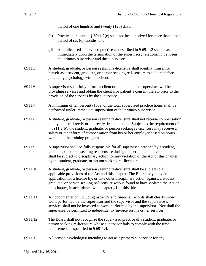period of one hundred and twenty (120) days;

- (c) Practice pursuant to  $\S 6911.2$ (e) shall not be authorized for more than a total period of six (6) months; and
- (d) All unlicensed supervised practice as described in § 6911.2 shall cease immediately upon the termination of the supervisory relationship between the primary supervisor and the supervisee.
- 6911.5 A student, graduate, or person seeking re-licensure shall identify himself or herself as a student, graduate, or person seeking re-licensure to a client before practicing psychology with the client.
- 6911.6 A supervisor shall fully inform a client or patient that the supervisee will be providing services and obtain the client's or patient's consent thereto prior to the provision of the services by the supervisee.
- 6911.7 A minimum of ten percent (10%) of the total supervised practice hours shall be performed under immediate supervision of the primary supervisor.
- 6911.8 A student, graduate, or person seeking re-licensure shall not receive compensation of any nature, directly or indirectly, from a patient. Subject to the requirement of § 6911.2(b), the student, graduate, or person seeking re-licensure may receive a salary or other form of compensation from his or her employer based on hours worked in the training program.
- 6911.9 A supervisor shall be fully responsible for all supervised practice by a student, graduate, or person seeking re-licensure during the period of supervision, and shall be subject to disciplinary action for any violation of the Act or this chapter by the student, graduate, or person seeking re- licensure.
- 6911.10 A student, graduate, or person seeking re-licensure shall be subject to all applicable provisions of the Act and this chapter. The Board may deny an application for a license by, or take other disciplinary action against, a student, graduate, or person seeking re-licensure who is found to have violated the Act or this chapter, in accordance with chapter 41 of this title.
- 6911.11 All documentation including patient's and financial records shall clearly show work performed by the supervisor and the supervisee and the supervisee's services shall not be invoiced as work performed by the supervisor. Nor shall the supervisee be permitted to independently invoice for his or her services.
- 6911.12 The Board shall not recognize the supervised practice of a student, graduate, or person seeking re-licensure whose supervisor fails to comply with the time requirement as specified in § 6911.4.
- 6911.13 A licensed psychologist intending to act as a primary supervisor for any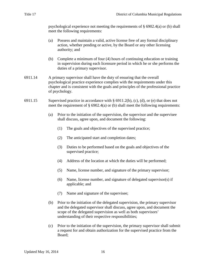psychological experience not meeting the requirements of  $\S$  6902.4(a) or (b) shall meet the following requirements:

- (a) Possess and maintain a valid, active license free of any formal disciplinary action, whether pending or active, by the Board or any other licensing authority; and
- (b) Complete a minimum of four (4) hours of continuing education or training in supervision during each licensure period in which he or she performs the duties of a primary supervisor.
- 6911.14 A primary supervisor shall have the duty of ensuring that the overall psychological practice experience complies with the requirements under this chapter and is consistent with the goals and principles of the professional practice of psychology.
- 6911.15 Supervised practice in accordance with  $\S 6911.2(b)$ , (c), (d), or (e) that does not meet the requirement of  $\S$  6902.4(a) or (b) shall meet the following requirements:
	- (a) Prior to the initiation of the supervision, the supervisor and the supervisee shall discuss, agree upon, and document the following:
		- (1) The goals and objectives of the supervised practice;
		- (2) The anticipated start and completion dates;
		- (3) Duties to be performed based on the goals and objectives of the supervised practice;
		- (4) Address of the location at which the duties will be performed;
		- (5) Name, license number, and signature of the primary supervisor;
		- (6) Name, license number, and signature of delegated supervisor(s) if applicable; and
		- (7) Name and signature of the supervisee;
	- (b) Prior to the initiation of the delegated supervision, the primary supervisor and the delegated supervisor shall discuss, agree upon, and document the scope of the delegated supervision as well as both supervisors' understanding of their respective responsibilities;
	- (c) Prior to the initiation of the supervision, the primary supervisor shall submit a request for and obtain authorization for the supervised practice from the Board;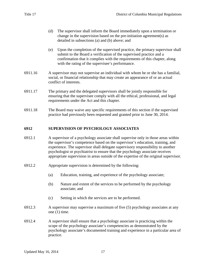- (d) The supervisor shall inform the Board immediately upon a termination or change in the supervision based on the pre-initiation agreement(s) as detailed in subsections (a) and (b) above; and
- (e) Upon the completion of the supervised practice, the primary supervisor shall submit to the Board a verification of the supervised practice and a confirmation that it complies with the requirements of this chapter, along with the rating of the supervisee's performance.
- 6911.16 A supervisor may not supervise an individual with whom he or she has a familial, social, or financial relationship that may create an appearance of or an actual conflict of interests.
- 6911.17 The primary and the delegated supervisors shall be jointly responsible for ensuring that the supervisee comply with all the ethical, professional, and legal requirements under the Act and this chapter.
- 6911.18 The Board may waive any specific requirements of this section if the supervised practice had previously been requested and granted prior to June 30, 2014.

# **6912 SUPERVISION OF PSYCHOLOGY ASSOCIATES**

- 6912.1 A supervisor of a psychology associate shall supervise only in those areas within the supervisor's competence based on the supervisor's education, training, and experience. The supervisor shall delegate supervisory responsibility to another psychologist or psychiatrist to ensure that the psychology associate receives appropriate supervision in areas outside of the expertise of the original supervisor.
- 6912.2 Appropriate supervision is determined by the following:
	- (a) Education, training, and experience of the psychology associate;
	- (b) Nature and extent of the services to be performed by the psychology associate; and
	- (c) Setting in which the services are to be performed.
- 6912.3 A supervisor may supervise a maximum of five (5) psychology associates at any one (1) time.
- 6912.4 A supervisor shall ensure that a psychology associate is practicing within the scope of the psychology associate's competencies as demonstrated by the psychology associate's documented training and experience in a particular area of practice.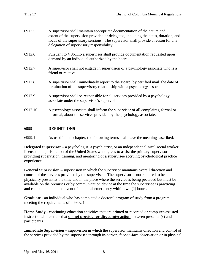| 6912.5  | A supervisor shall maintain appropriate documentation of the nature and<br>extent of the supervision provided or delegated, including the dates, duration, and<br>focus of the supervisory sessions. The supervisor shall provide a reason for any<br>delegation of supervisory responsibility. |
|---------|-------------------------------------------------------------------------------------------------------------------------------------------------------------------------------------------------------------------------------------------------------------------------------------------------|
| 6912.6  | Pursuant to § 8611.5 a supervisor shall provide documentation requested upon<br>demand by an individual authorized by the board.                                                                                                                                                                |
| 6912.7  | A supervisor shall not engage in supervision of a psychology associate who is a<br>friend or relative.                                                                                                                                                                                          |
| 6912.8  | A supervisor shall immediately report to the Board, by certified mail, the date of<br>termination of the supervisory relationship with a psychology associate.                                                                                                                                  |
| 6912.9  | A supervisor shall be responsible for all services provided by a psychology<br>associate under the supervisor's supervision.                                                                                                                                                                    |
| 6912.10 | A psychology associate shall inform the supervisor of all complaints, formal or<br>informal, about the services provided by the psychology associate.                                                                                                                                           |
|         |                                                                                                                                                                                                                                                                                                 |

## **6999 DEFINITIONS**

6999.1 As used in this chapter, the following terms shall have the meanings ascribed:

**Delegated Supervisor** – a psychologist, a psychiatrist, or an independent clinical social worker licensed in a jurisdiction of the United States who agrees to assist the primary supervisor in providing supervision, training, and mentoring of a supervisee accruing psychological practice experience.

**General Supervision** – supervision in which the supervisor maintains overall direction and control of the services provided by the supervisee. The supervisor is not required to be physically present at the time and in the place where the service is being provided but must be available on the premises or by communication device at the time the supervisee is practicing and can be on-site in the event of a clinical emergency within two (2) hours.

**Graduate** - an individual who has completed a doctoral program of study from a program meeting the requirements of § 6902.1

**Home Study** - continuing education activities that are printed or recorded or computer-assisted instructional materials that **do not provide for direct interaction** between presenter(s) and participants

**Immediate Supervision –** supervision in which the supervisor maintains direction and control of the services provided by the supervisee through in-person, face-to-face observation or in physical